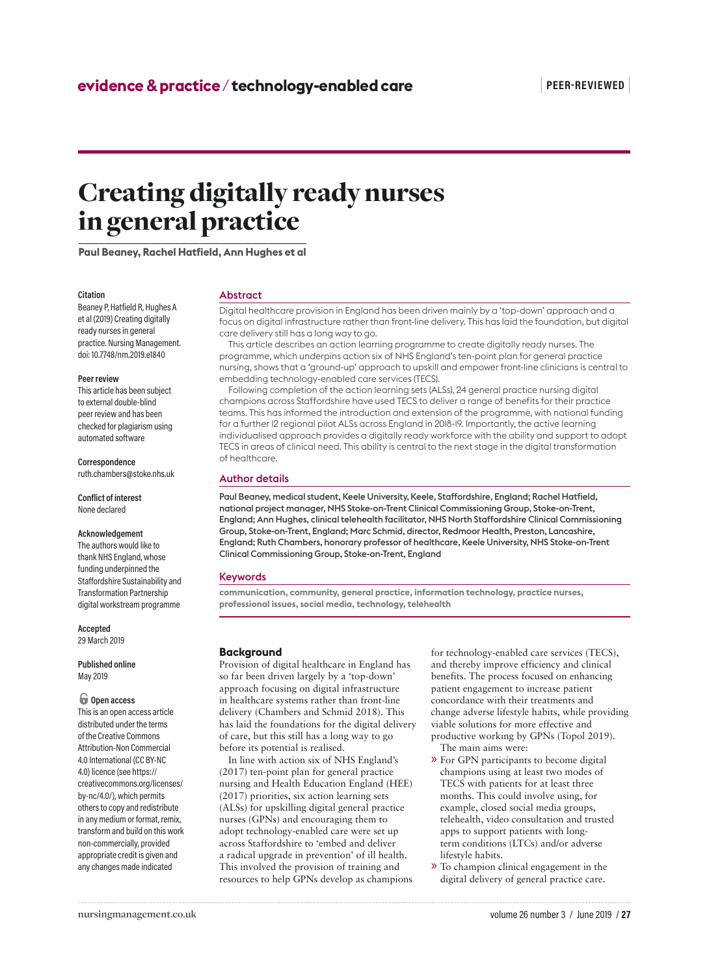# Creating digitally ready nurses in general practice

**Paul Beaney, Rachel Hatfield, Ann Hughes et al**

#### **Citation**

Beaney P, Hatfield R, Hughes A et al (2019) Creating digitally ready nurses in general practice. Nursing Management. doi: 10.7748/nm.2019.e1840

#### **Peer review**

This article has been subject to external double-blind peer review and has been checked for plagiarism using automated software

#### **Correspondence**

ruth.chambers@stoke.nhs.uk

**Conflict of interest** None declared

#### **Acknowledgement**

The authors would like to thank NHS England, whose funding underpinned the Staffordshire Sustainability and Transformation Partnership digital workstream programme

**Accepted** 29 March 2019

#### **Published online** May 2019

# $\bigcirc$  Open access

This is an open access article distributed under the terms of the Creative Commons Attribution-Non Commercial 4.0 International (CC BY-NC 4.0) licence (see https:// creativecommons.org/licenses/ by-nc/4.0/), which permits others to copy and redistribute in any medium or format, remix, transform and build on this work non-commercially, provided appropriate credit is given and any changes made indicated

#### Abstract

Digital healthcare provision in England has been driven mainly by a 'top-down' approach and a focus on digital infrastructure rather than front-line delivery. This has laid the foundation, but digital care delivery still has a long way to go.

This article describes an action learning programme to create digitally ready nurses. The programme, which underpins action six of NHS England's ten-point plan for general practice nursing, shows that a 'ground-up' approach to upskill and empower front-line clinicians is central to embedding technology-enabled care services (TECS).

Following completion of the action learning sets (ALSs), 24 general practice nursing digital champions across Staffordshire have used TECS to deliver a range of benefits for their practice teams. This has informed the introduction and extension of the programme, with national funding for a further 12 regional pilot ALSs across England in 2018-19. Importantly, the active learning individualised approach provides a digitally ready workforce with the ability and support to adopt TECS in areas of clinical need. This ability is central to the next stage in the digital transformation of healthcare.

# Author details

Paul Beaney, medical student, Keele University, Keele, Staffordshire, England; Rachel Hatfield, national project manager, NHS Stoke-on-Trent Clinical Commissioning Group, Stoke-on-Trent, England; Ann Hughes, clinical telehealth facilitator, NHS North Staffordshire Clinical Commissioning Group, Stoke-on-Trent, England; Marc Schmid, director, Redmoor Health, Preston, Lancashire, England; Ruth Chambers, honorary professor of healthcare, Keele University, NHS Stoke-on-Trent Clinical Commissioning Group, Stoke-on-Trent, England

# Keywords

**communication, community, general practice, information technology, practice nurses, professional issues, social media, technology, telehealth**

# **Background**

Provision of digital healthcare in England has so far been driven largely by a 'top-down' approach focusing on digital infrastructure in healthcare systems rather than front-line delivery (Chambers and Schmid 2018). This has laid the foundations for the digital delivery of care, but this still has a long way to go before its potential is realised.

In line with action six of NHS England's (2017) ten-point plan for general practice nursing and Health Education England (HEE) (2017) priorities, six action learning sets (ALSs) for upskilling digital general practice nurses (GPNs) and encouraging them to adopt technology-enabled care were set up across Staffordshire to 'embed and deliver a radical upgrade in prevention' of ill health. This involved the provision of training and resources to help GPNs develop as champions for technology-enabled care services (TECS), and thereby improve efficiency and clinical benefits. The process focused on enhancing patient engagement to increase patient concordance with their treatments and change adverse lifestyle habits, while providing viable solutions for more effective and productive working by GPNs (Topol 2019). The main aims were:

- » For GPN participants to become digital champions using at least two modes of TECS with patients for at least three months. This could involve using, for example, closed social media groups, telehealth, video consultation and trusted apps to support patients with longterm conditions (LTCs) and/or adverse lifestyle habits.
- » To champion clinical engagement in the digital delivery of general practice care.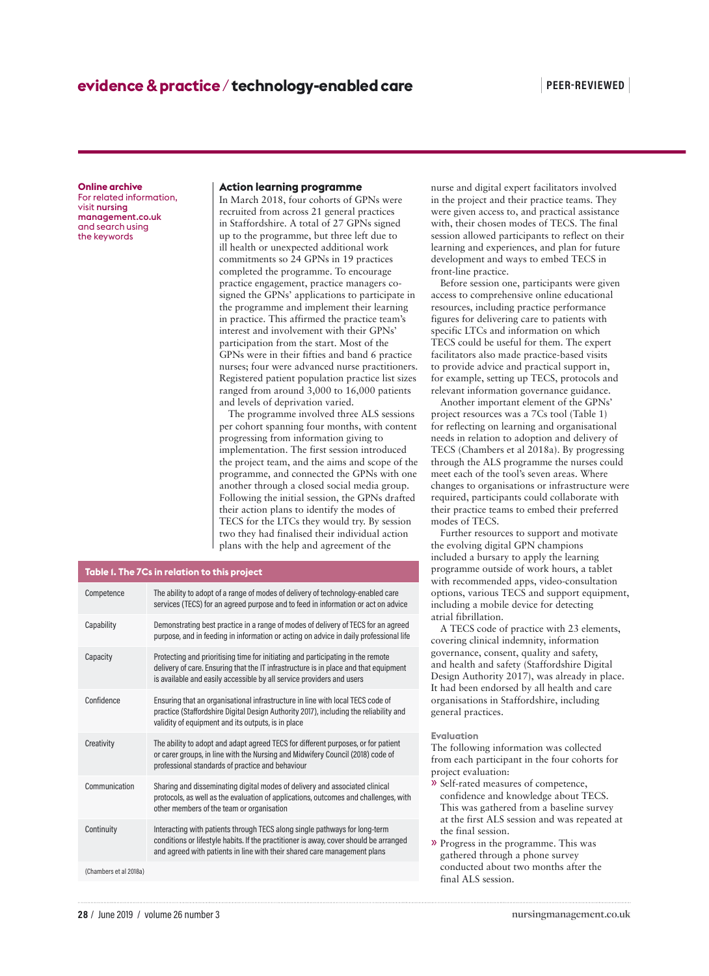#### **Online archive**

For related information, visit nursing management.co.uk and search using the keywords

## **Action learning programme**

In March 2018, four cohorts of GPNs were recruited from across 21 general practices in Staffordshire. A total of 27 GPNs signed up to the programme, but three left due to ill health or unexpected additional work commitments so 24 GPNs in 19 practices completed the programme. To encourage practice engagement, practice managers cosigned the GPNs' applications to participate in the programme and implement their learning in practice. This affirmed the practice team's interest and involvement with their GPNs' participation from the start. Most of the GPNs were in their fifties and band 6 practice nurses; four were advanced nurse practitioners. Registered patient population practice list sizes ranged from around 3,000 to 16,000 patients and levels of deprivation varied.

The programme involved three ALS sessions per cohort spanning four months, with content progressing from information giving to implementation. The first session introduced the project team, and the aims and scope of the programme, and connected the GPNs with one another through a closed social media group. Following the initial session, the GPNs drafted their action plans to identify the modes of TECS for the LTCs they would try. By session two they had finalised their individual action plans with the help and agreement of the

#### **Table 1. The 7Cs in relation to this project**

| Competence             | The ability to adopt of a range of modes of delivery of technology-enabled care<br>services (TECS) for an agreed purpose and to feed in information or act on advice                                                                             |
|------------------------|--------------------------------------------------------------------------------------------------------------------------------------------------------------------------------------------------------------------------------------------------|
| Capability             | Demonstrating best practice in a range of modes of delivery of TECS for an agreed<br>purpose, and in feeding in information or acting on advice in daily professional life                                                                       |
| Capacity               | Protecting and prioritising time for initiating and participating in the remote<br>delivery of care. Ensuring that the IT infrastructure is in place and that equipment<br>is available and easily accessible by all service providers and users |
| Confidence             | Ensuring that an organisational infrastructure in line with local TECS code of<br>practice (Staffordshire Digital Design Authority 2017), including the reliability and<br>validity of equipment and its outputs, is in place                    |
| Creativity             | The ability to adopt and adapt agreed TECS for different purposes, or for patient<br>or carer groups, in line with the Nursing and Midwifery Council (2018) code of<br>professional standards of practice and behaviour                          |
| Communication          | Sharing and disseminating digital modes of delivery and associated clinical<br>protocols, as well as the evaluation of applications, outcomes and challenges, with<br>other members of the team or organisation                                  |
| Continuity             | Interacting with patients through TECS along single pathways for long-term<br>conditions or lifestyle habits. If the practitioner is away, cover should be arranged<br>and agreed with patients in line with their shared care management plans  |
| (Chambers et al 2018a) |                                                                                                                                                                                                                                                  |

nurse and digital expert facilitators involved in the project and their practice teams. They were given access to, and practical assistance with, their chosen modes of TECS. The final session allowed participants to reflect on their learning and experiences, and plan for future development and ways to embed TECS in front-line practice.

Before session one, participants were given access to comprehensive online educational resources, including practice performance figures for delivering care to patients with specific LTCs and information on which TECS could be useful for them. The expert facilitators also made practice-based visits to provide advice and practical support in, for example, setting up TECS, protocols and relevant information governance guidance.

Another important element of the GPNs' project resources was a 7Cs tool (Table 1) for reflecting on learning and organisational needs in relation to adoption and delivery of TECS (Chambers et al 2018a). By progressing through the ALS programme the nurses could meet each of the tool's seven areas. Where changes to organisations or infrastructure were required, participants could collaborate with their practice teams to embed their preferred modes of TECS.

Further resources to support and motivate the evolving digital GPN champions included a bursary to apply the learning programme outside of work hours, a tablet with recommended apps, video-consultation options, various TECS and support equipment, including a mobile device for detecting atrial fibrillation.

A TECS code of practice with 23 elements, covering clinical indemnity, information governance, consent, quality and safety, and health and safety (Staffordshire Digital Design Authority 2017), was already in place. It had been endorsed by all health and care organisations in Staffordshire, including general practices.

#### **Evaluation**

The following information was collected from each participant in the four cohorts for project evaluation:

- » Self-rated measures of competence, confidence and knowledge about TECS. This was gathered from a baseline survey at the first ALS session and was repeated at the final session.
- » Progress in the programme. This was gathered through a phone survey conducted about two months after the final ALS session.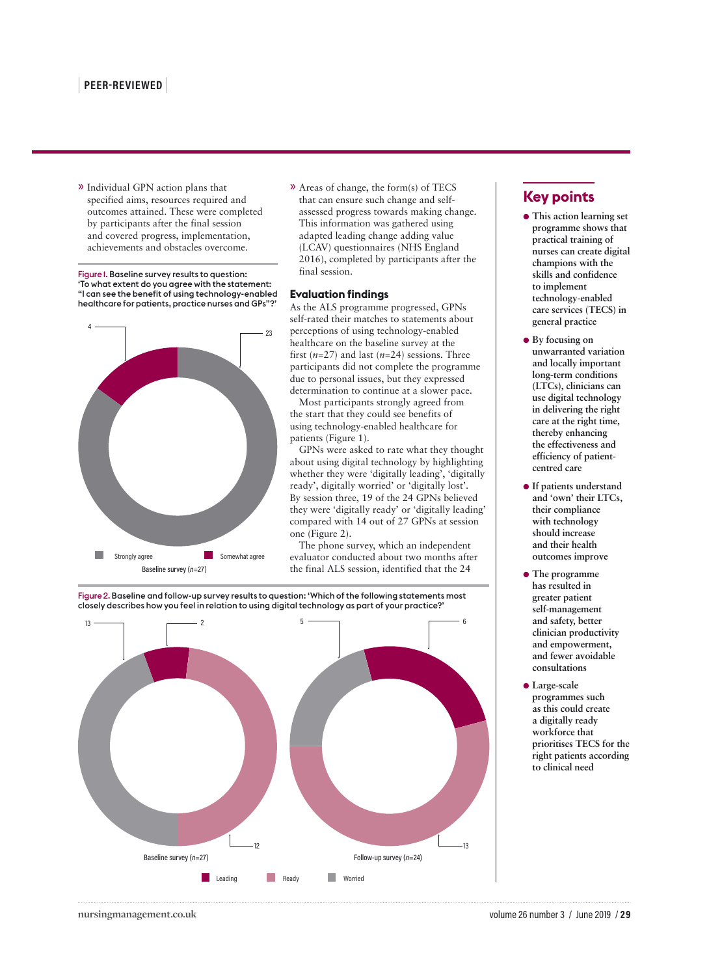» Individual GPN action plans that specified aims, resources required and outcomes attained. These were completed by participants after the final session and covered progress, implementation, achievements and obstacles overcome.

Figure 1. Baseline survey results to question: 'To what extent do you agree with the statement: "I can see the benefit of using technology-enabled healthcare for patients, practice nurses and GPs"?'



» Areas of change, the form(s) of TECS that can ensure such change and selfassessed progress towards making change. This information was gathered using adapted leading change adding value (LCAV) questionnaires (NHS England 2016), completed by participants after the final session.

# **Evaluation findings**

As the ALS programme progressed, GPNs self-rated their matches to statements about perceptions of using technology-enabled healthcare on the baseline survey at the first (*n*=27) and last (*n*=24) sessions. Three participants did not complete the programme due to personal issues, but they expressed determination to continue at a slower pace.

Most participants strongly agreed from the start that they could see benefits of using technology-enabled healthcare for patients (Figure 1).

GPNs were asked to rate what they thought about using digital technology by highlighting whether they were 'digitally leading', 'digitally ready', digitally worried' or 'digitally lost'. By session three, 19 of the 24 GPNs believed they were 'digitally ready' or 'digitally leading' compared with 14 out of 27 GPNs at session one (Figure 2).

The phone survey, which an independent evaluator conducted about two months after the final ALS session, identified that the 24

Figure 2. Baseline and follow-up survey results to question: 'Which of the following statements most closely describes how you feel in relation to using digital technology as part of your practice?'



# **Key points**

- ●● **This action learning set programme shows that practical training of nurses can create digital champions with the skills and confidence to implement technology-enabled care services (TECS) in general practice**
- **By focusing on unwarranted variation and locally important long-term conditions (LTCs), clinicians can use digital technology in delivering the right care at the right time, thereby enhancing the effectiveness and efficiency of patientcentred care**
- ●● **If patients understand and 'own' their LTCs, their compliance with technology should increase and their health outcomes improve**
- ●● **The programme has resulted in greater patient self-management and safety, better clinician productivity and empowerment, and fewer avoidable consultations**
- ●● **Large-scale programmes such as this could create a digitally ready workforce that prioritises TECS for the right patients according to clinical need**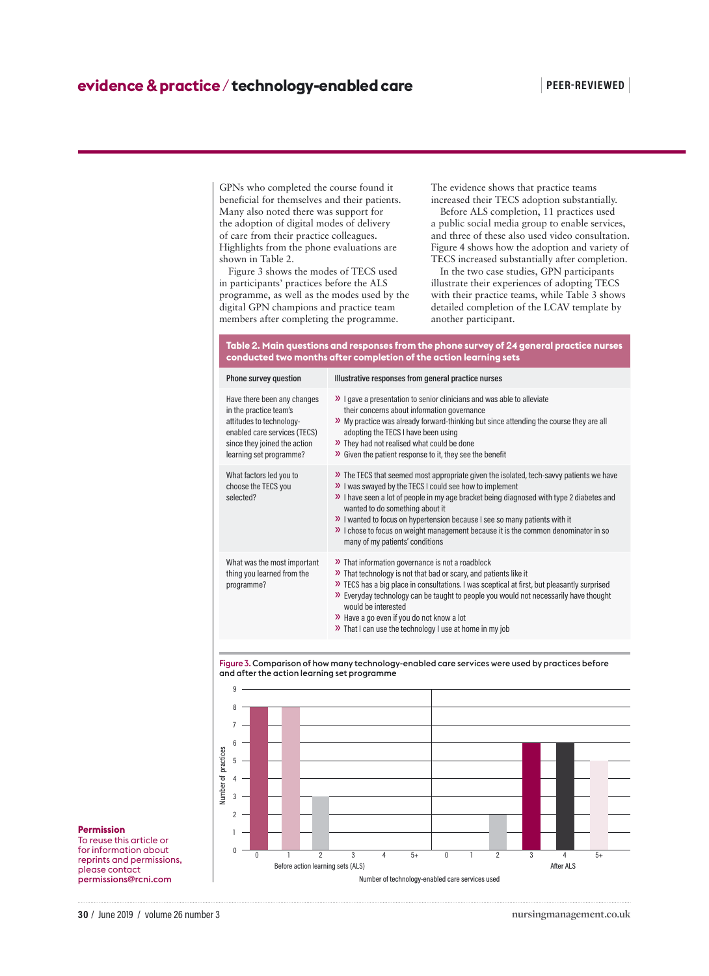GPNs who completed the course found it beneficial for themselves and their patients. Many also noted there was support for the adoption of digital modes of delivery of care from their practice colleagues. Highlights from the phone evaluations are shown in Table 2.

Figure 3 shows the modes of TECS used in participants' practices before the ALS programme, as well as the modes used by the digital GPN champions and practice team members after completing the programme.

The evidence shows that practice teams increased their TECS adoption substantially.

Before ALS completion, 11 practices used a public social media group to enable services, and three of these also used video consultation. Figure 4 shows how the adoption and variety of TECS increased substantially after completion.

In the two case studies, GPN participants illustrate their experiences of adopting TECS with their practice teams, while Table 3 shows detailed completion of the LCAV template by another participant.

## **Table 2. Main questions and responses from the phone survey of 24 general practice nurses conducted two months after completion of the action learning sets**

| Phone survey question                                                                                                                                                        | Illustrative responses from general practice nurses                                                                                                                                                                                                                                                                                                                                                                                                                                           |
|------------------------------------------------------------------------------------------------------------------------------------------------------------------------------|-----------------------------------------------------------------------------------------------------------------------------------------------------------------------------------------------------------------------------------------------------------------------------------------------------------------------------------------------------------------------------------------------------------------------------------------------------------------------------------------------|
| Have there been any changes<br>in the practice team's<br>attitudes to technology-<br>enabled care services (TECS)<br>since they joined the action<br>learning set programme? | >> I gave a presentation to senior clinicians and was able to alleviate<br>their concerns about information governance<br>>> My practice was already forward-thinking but since attending the course they are all<br>adopting the TECS I have been using<br>>> They had not realised what could be done<br>>> Given the patient response to it, they see the benefit                                                                                                                          |
| What factors led you to<br>choose the TECS you<br>selected?                                                                                                                  | >> The TECS that seemed most appropriate given the isolated, tech-savvy patients we have<br>>> I was swayed by the TECS I could see how to implement<br>>> I have seen a lot of people in my age bracket being diagnosed with type 2 diabetes and<br>wanted to do something about it<br>>> I wanted to focus on hypertension because I see so many patients with it<br>>> I chose to focus on weight management because it is the common denominator in so<br>many of my patients' conditions |
| What was the most important<br>thing you learned from the<br>programme?                                                                                                      | >> That information governance is not a roadblock<br>>> That technology is not that bad or scary, and patients like it<br>>> TECS has a big place in consultations. I was sceptical at first, but pleasantly surprised<br>>> Everyday technology can be taught to people you would not necessarily have thought<br>would be interested<br>$\lambda$ Have a go even if you do not know a lot<br>>> That I can use the technology I use at home in my job                                       |

Figure 3. Comparison of how many technology-enabled care services were used by practices before and after the action learning set programme



#### **Permission**

To reuse this article or for information about reprints and permissions, please contact permissions@rcni.com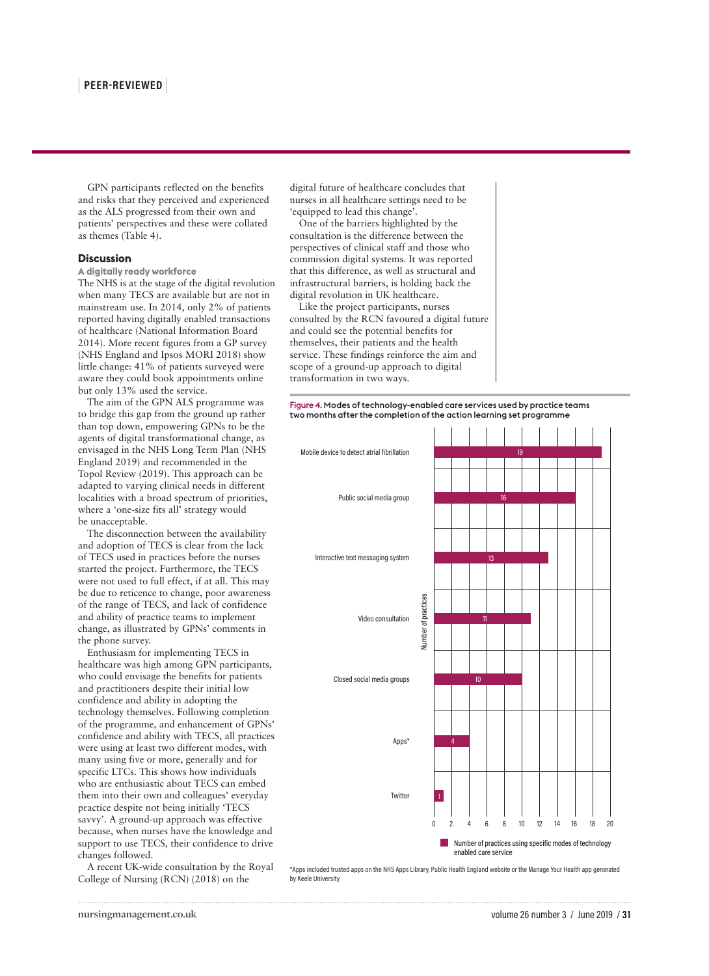GPN participants reflected on the benefits and risks that they perceived and experienced as the ALS progressed from their own and patients' perspectives and these were collated as themes (Table 4).

#### **Discussion**

**A digitally ready workforce**

The NHS is at the stage of the digital revolution when many TECS are available but are not in mainstream use. In 2014, only 2% of patients reported having digitally enabled transactions of healthcare (National Information Board 2014). More recent figures from a GP survey (NHS England and Ipsos MORI 2018) show little change: 41% of patients surveyed were aware they could book appointments online but only 13% used the service.

The aim of the GPN ALS programme was to bridge this gap from the ground up rather than top down, empowering GPNs to be the agents of digital transformational change, as envisaged in the NHS Long Term Plan (NHS England 2019) and recommended in the Topol Review (2019). This approach can be adapted to varying clinical needs in different localities with a broad spectrum of priorities, where a 'one-size fits all' strategy would be unacceptable.

The disconnection between the availability and adoption of TECS is clear from the lack of TECS used in practices before the nurses started the project. Furthermore, the TECS were not used to full effect, if at all. This may be due to reticence to change, poor awareness of the range of TECS, and lack of confidence and ability of practice teams to implement change, as illustrated by GPNs' comments in the phone survey.

Enthusiasm for implementing TECS in healthcare was high among GPN participants, who could envisage the benefits for patients and practitioners despite their initial low confidence and ability in adopting the technology themselves. Following completion of the programme, and enhancement of GPNs' confidence and ability with TECS, all practices were using at least two different modes, with many using five or more, generally and for specific LTCs. This shows how individuals who are enthusiastic about TECS can embed them into their own and colleagues' everyday practice despite not being initially 'TECS savvy'. A ground-up approach was effective because, when nurses have the knowledge and support to use TECS, their confidence to drive changes followed.

A recent UK-wide consultation by the Royal College of Nursing (RCN) (2018) on the

digital future of healthcare concludes that nurses in all healthcare settings need to be 'equipped to lead this change'.

One of the barriers highlighted by the consultation is the difference between the perspectives of clinical staff and those who commission digital systems. It was reported that this difference, as well as structural and infrastructural barriers, is holding back the digital revolution in UK healthcare.

Like the project participants, nurses consulted by the RCN favoured a digital future and could see the potential benefits for themselves, their patients and the health service. These findings reinforce the aim and scope of a ground-up approach to digital transformation in two ways.

Figure 4. Modes of technology-enabled care services used by practice teams two months after the completion of the action learning set programme



\*Apps included trusted apps on the NHS Apps Library, Public Health England website or the Manage Your Health app generated by Keele University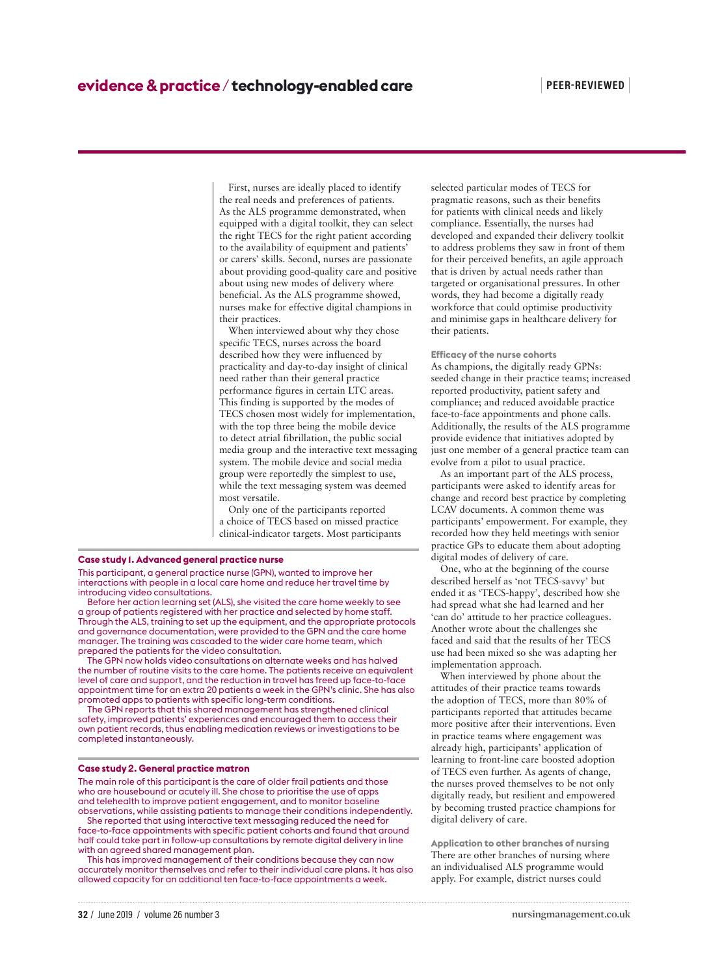First, nurses are ideally placed to identify the real needs and preferences of patients. As the ALS programme demonstrated, when equipped with a digital toolkit, they can select the right TECS for the right patient according to the availability of equipment and patients' or carers' skills. Second, nurses are passionate about providing good-quality care and positive about using new modes of delivery where beneficial. As the ALS programme showed, nurses make for effective digital champions in their practices.

When interviewed about why they chose specific TECS, nurses across the board described how they were influenced by practicality and day-to-day insight of clinical need rather than their general practice performance figures in certain LTC areas. This finding is supported by the modes of TECS chosen most widely for implementation, with the top three being the mobile device to detect atrial fibrillation, the public social media group and the interactive text messaging system. The mobile device and social media group were reportedly the simplest to use, while the text messaging system was deemed most versatile.

Only one of the participants reported a choice of TECS based on missed practice clinical-indicator targets. Most participants

#### **Case study 1. Advanced general practice nurse**

This participant, a general practice nurse (GPN), wanted to improve her interactions with people in a local care home and reduce her travel time by introducing video consultations.

Before her action learning set (ALS), she visited the care home weekly to see a group of patients registered with her practice and selected by home staff. Through the ALS, training to set up the equipment, and the appropriate protocols and governance documentation, were provided to the GPN and the care home manager. The training was cascaded to the wider care home team, which prepared the patients for the video consultation.

The GPN now holds video consultations on alternate weeks and has halved the number of routine visits to the care home. The patients receive an equivalent level of care and support, and the reduction in travel has freed up face-to-face appointment time for an extra 20 patients a week in the GPN's clinic. She has also promoted apps to patients with specific long-term conditions.

The GPN reports that this shared management has strengthened clinical safety, improved patients' experiences and encouraged them to access their own patient records, thus enabling medication reviews or investigations to be completed instantaneously.

#### **Case study 2. General practice matron**

The main role of this participant is the care of older frail patients and those who are housebound or acutely ill. She chose to prioritise the use of apps and telehealth to improve patient engagement, and to monitor baseline observations, while assisting patients to manage their conditions independently.

She reported that using interactive text messaging reduced the need for face-to-face appointments with specific patient cohorts and found that around half could take part in follow-up consultations by remote digital delivery in line with an agreed shared management plan.

This has improved management of their conditions because they can now accurately monitor themselves and refer to their individual care plans. It has also allowed capacity for an additional ten face-to-face appointments a week.

selected particular modes of TECS for pragmatic reasons, such as their benefits for patients with clinical needs and likely compliance. Essentially, the nurses had developed and expanded their delivery toolkit to address problems they saw in front of them for their perceived benefits, an agile approach that is driven by actual needs rather than targeted or organisational pressures. In other words, they had become a digitally ready workforce that could optimise productivity and minimise gaps in healthcare delivery for their patients.

**Efficacy of the nurse cohorts** As champions, the digitally ready GPNs: seeded change in their practice teams; increased reported productivity, patient safety and compliance; and reduced avoidable practice face-to-face appointments and phone calls. Additionally, the results of the ALS programme provide evidence that initiatives adopted by just one member of a general practice team can evolve from a pilot to usual practice.

As an important part of the ALS process, participants were asked to identify areas for change and record best practice by completing LCAV documents. A common theme was participants' empowerment. For example, they recorded how they held meetings with senior practice GPs to educate them about adopting digital modes of delivery of care.

One, who at the beginning of the course described herself as 'not TECS-savvy' but ended it as 'TECS-happy', described how she had spread what she had learned and her 'can do' attitude to her practice colleagues. Another wrote about the challenges she faced and said that the results of her TECS use had been mixed so she was adapting her implementation approach.

When interviewed by phone about the attitudes of their practice teams towards the adoption of TECS, more than 80% of participants reported that attitudes became more positive after their interventions. Even in practice teams where engagement was already high, participants' application of learning to front-line care boosted adoption of TECS even further. As agents of change, the nurses proved themselves to be not only digitally ready, but resilient and empowered by becoming trusted practice champions for digital delivery of care.

**Application to other branches of nursing** There are other branches of nursing where an individualised ALS programme would apply. For example, district nurses could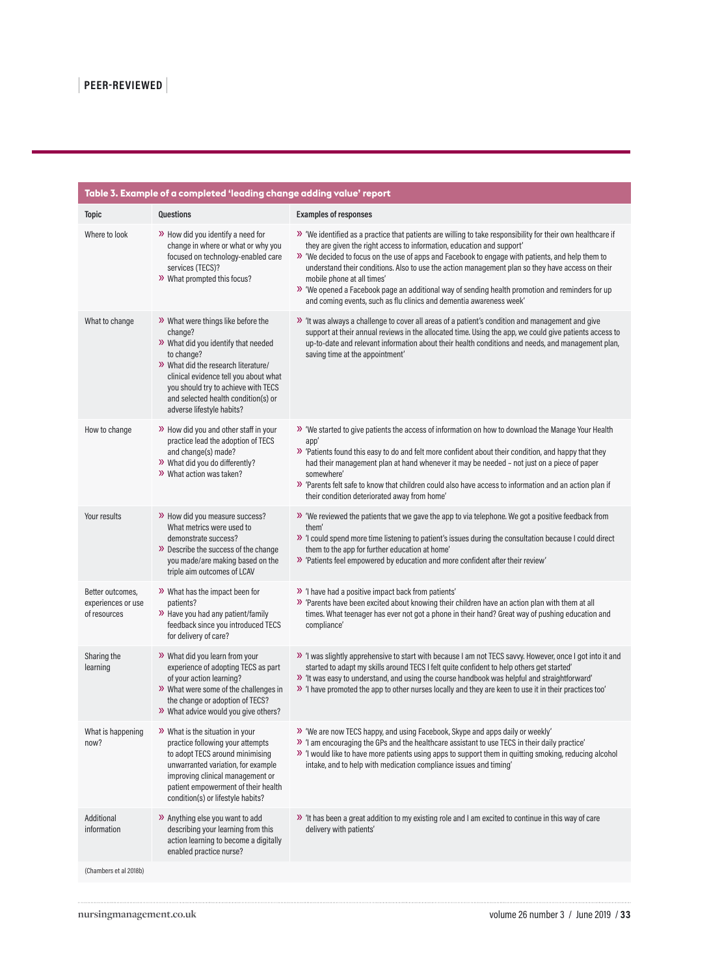| <b>Topic</b><br>Questions<br><b>Examples of responses</b><br>Where to look<br>>> How did you identify a need for<br>>> 'We identified as a practice that patients are willing to take responsibility for their own healthcare if<br>change in where or what or why you<br>they are given the right access to information, education and support'<br>focused on technology-enabled care<br>>> 'We decided to focus on the use of apps and Facebook to engage with patients, and help them to<br>understand their conditions. Also to use the action management plan so they have access on their<br>services (TECS)?<br>>> What prompted this focus?<br>mobile phone at all times'<br>>> 'We opened a Facebook page an additional way of sending health promotion and reminders for up<br>and coming events, such as flu clinics and dementia awareness week'<br>>> 'It was always a challenge to cover all areas of a patient's condition and management and give<br>What to change<br>>> What were things like before the<br>support at their annual reviews in the allocated time. Using the app, we could give patients access to<br>change?<br>>> What did you identify that needed<br>up-to-date and relevant information about their health conditions and needs, and management plan,<br>to change?<br>saving time at the appointment'<br>>> What did the research literature/<br>clinical evidence tell you about what<br>you should try to achieve with TECS<br>and selected health condition(s) or<br>adverse lifestyle habits?<br>>> How did you and other staff in your<br>How to change<br>>> 'We started to give patients the access of information on how to download the Manage Your Health<br>practice lead the adoption of TECS<br>app'<br>and change(s) made?<br>>> 'Patients found this easy to do and felt more confident about their condition, and happy that they<br>>> What did you do differently?<br>had their management plan at hand whenever it may be needed - not just on a piece of paper<br>>> What action was taken?<br>somewhere'<br>>> 'Parents felt safe to know that children could also have access to information and an action plan if<br>their condition deteriorated away from home'<br>Your results<br>>> How did you measure success?<br>>> 'We reviewed the patients that we gave the app to via telephone. We got a positive feedback from<br>What metrics were used to<br>them'<br>» 'I could spend more time listening to patient's issues during the consultation because I could direct<br>demonstrate success?<br>>> Describe the success of the change<br>them to the app for further education at home'<br>you made/are making based on the<br>>> 'Patients feel empowered by education and more confident after their review'<br>triple aim outcomes of LCAV<br>>> 'I have had a positive impact back from patients'<br>>> What has the impact been for<br>Better outcomes,<br>>> 'Parents have been excited about knowing their children have an action plan with them at all<br>experiences or use<br>patients?<br>>> Have you had any patient/family<br>times. What teenager has ever not got a phone in their hand? Great way of pushing education and<br>of resources<br>feedback since you introduced TECS<br>compliance'<br>for delivery of care?<br>>> 'I was slightly apprehensive to start with because I am not TECS savvy. However, once I got into it and<br>Sharing the<br>>> What did you learn from your<br>experience of adopting TECS as part<br>started to adapt my skills around TECS I felt quite confident to help others get started'<br>learning<br>of your action learning?<br>>> 'It was easy to understand, and using the course handbook was helpful and straightforward'<br>>> What were some of the challenges in<br>» 'I have promoted the app to other nurses locally and they are keen to use it in their practices too'<br>the change or adoption of TECS?<br>>> What advice would you give others?<br>>> 'We are now TECS happy, and using Facebook, Skype and apps daily or weekly'<br>What is happening<br>$\rightarrow$ What is the situation in your<br>» 'I am encouraging the GPs and the healthcare assistant to use TECS in their daily practice'<br>practice following your attempts<br>now?<br>to adopt TECS around minimising<br>>> 'I would like to have more patients using apps to support them in quitting smoking, reducing alcohol<br>intake, and to help with medication compliance issues and timing'<br>unwarranted variation, for example<br>improving clinical management or<br>patient empowerment of their health<br>condition(s) or lifestyle habits?<br>Additional<br>>> Anything else you want to add<br>>> 'It has been a great addition to my existing role and I am excited to continue in this way of care<br>describing your learning from this<br>information<br>delivery with patients'<br>action learning to become a digitally<br>enabled practice nurse?<br>(Chambers et al 2018b) | Table 3. Example of a completed 'leading change adding value' report |  |
|--------------------------------------------------------------------------------------------------------------------------------------------------------------------------------------------------------------------------------------------------------------------------------------------------------------------------------------------------------------------------------------------------------------------------------------------------------------------------------------------------------------------------------------------------------------------------------------------------------------------------------------------------------------------------------------------------------------------------------------------------------------------------------------------------------------------------------------------------------------------------------------------------------------------------------------------------------------------------------------------------------------------------------------------------------------------------------------------------------------------------------------------------------------------------------------------------------------------------------------------------------------------------------------------------------------------------------------------------------------------------------------------------------------------------------------------------------------------------------------------------------------------------------------------------------------------------------------------------------------------------------------------------------------------------------------------------------------------------------------------------------------------------------------------------------------------------------------------------------------------------------------------------------------------------------------------------------------------------------------------------------------------------------------------------------------------------------------------------------------------------------------------------------------------------------------------------------------------------------------------------------------------------------------------------------------------------------------------------------------------------------------------------------------------------------------------------------------------------------------------------------------------------------------------------------------------------------------------------------------------------------------------------------------------------------------------------------------------------------------------------------------------------------------------------------------------------------------------------------------------------------------------------------------------------------------------------------------------------------------------------------------------------------------------------------------------------------------------------------------------------------------------------------------------------------------------------------------------------------------------------------------------------------------------------------------------------------------------------------------------------------------------------------------------------------------------------------------------------------------------------------------------------------------------------------------------------------------------------------------------------------------------------------------------------------------------------------------------------------------------------------------------------------------------------------------------------------------------------------------------------------------------------------------------------------------------------------------------------------------------------------------------------------------------------------------------------------------------------------------------------------------------------------------------------------------------------------------------------------------------------------------------------------------------------------------------------------------------------------------------------------------------------------------------------------------------------------------------------------------------------------------------------------------------------------------------------------------------------------------------------------------------------------------------------------------------------------------------------------------------------------------------------------------------------------------------------------------------------------------------------------------------------------------------------------------------------------------------------------------------------------------------|----------------------------------------------------------------------|--|
|                                                                                                                                                                                                                                                                                                                                                                                                                                                                                                                                                                                                                                                                                                                                                                                                                                                                                                                                                                                                                                                                                                                                                                                                                                                                                                                                                                                                                                                                                                                                                                                                                                                                                                                                                                                                                                                                                                                                                                                                                                                                                                                                                                                                                                                                                                                                                                                                                                                                                                                                                                                                                                                                                                                                                                                                                                                                                                                                                                                                                                                                                                                                                                                                                                                                                                                                                                                                                                                                                                                                                                                                                                                                                                                                                                                                                                                                                                                                                                                                                                                                                                                                                                                                                                                                                                                                                                                                                                                                                                                                                                                                                                                                                                                                                                                                                                                                                                                                                                                                                    |                                                                      |  |
|                                                                                                                                                                                                                                                                                                                                                                                                                                                                                                                                                                                                                                                                                                                                                                                                                                                                                                                                                                                                                                                                                                                                                                                                                                                                                                                                                                                                                                                                                                                                                                                                                                                                                                                                                                                                                                                                                                                                                                                                                                                                                                                                                                                                                                                                                                                                                                                                                                                                                                                                                                                                                                                                                                                                                                                                                                                                                                                                                                                                                                                                                                                                                                                                                                                                                                                                                                                                                                                                                                                                                                                                                                                                                                                                                                                                                                                                                                                                                                                                                                                                                                                                                                                                                                                                                                                                                                                                                                                                                                                                                                                                                                                                                                                                                                                                                                                                                                                                                                                                                    |                                                                      |  |
|                                                                                                                                                                                                                                                                                                                                                                                                                                                                                                                                                                                                                                                                                                                                                                                                                                                                                                                                                                                                                                                                                                                                                                                                                                                                                                                                                                                                                                                                                                                                                                                                                                                                                                                                                                                                                                                                                                                                                                                                                                                                                                                                                                                                                                                                                                                                                                                                                                                                                                                                                                                                                                                                                                                                                                                                                                                                                                                                                                                                                                                                                                                                                                                                                                                                                                                                                                                                                                                                                                                                                                                                                                                                                                                                                                                                                                                                                                                                                                                                                                                                                                                                                                                                                                                                                                                                                                                                                                                                                                                                                                                                                                                                                                                                                                                                                                                                                                                                                                                                                    |                                                                      |  |
|                                                                                                                                                                                                                                                                                                                                                                                                                                                                                                                                                                                                                                                                                                                                                                                                                                                                                                                                                                                                                                                                                                                                                                                                                                                                                                                                                                                                                                                                                                                                                                                                                                                                                                                                                                                                                                                                                                                                                                                                                                                                                                                                                                                                                                                                                                                                                                                                                                                                                                                                                                                                                                                                                                                                                                                                                                                                                                                                                                                                                                                                                                                                                                                                                                                                                                                                                                                                                                                                                                                                                                                                                                                                                                                                                                                                                                                                                                                                                                                                                                                                                                                                                                                                                                                                                                                                                                                                                                                                                                                                                                                                                                                                                                                                                                                                                                                                                                                                                                                                                    |                                                                      |  |
|                                                                                                                                                                                                                                                                                                                                                                                                                                                                                                                                                                                                                                                                                                                                                                                                                                                                                                                                                                                                                                                                                                                                                                                                                                                                                                                                                                                                                                                                                                                                                                                                                                                                                                                                                                                                                                                                                                                                                                                                                                                                                                                                                                                                                                                                                                                                                                                                                                                                                                                                                                                                                                                                                                                                                                                                                                                                                                                                                                                                                                                                                                                                                                                                                                                                                                                                                                                                                                                                                                                                                                                                                                                                                                                                                                                                                                                                                                                                                                                                                                                                                                                                                                                                                                                                                                                                                                                                                                                                                                                                                                                                                                                                                                                                                                                                                                                                                                                                                                                                                    |                                                                      |  |
|                                                                                                                                                                                                                                                                                                                                                                                                                                                                                                                                                                                                                                                                                                                                                                                                                                                                                                                                                                                                                                                                                                                                                                                                                                                                                                                                                                                                                                                                                                                                                                                                                                                                                                                                                                                                                                                                                                                                                                                                                                                                                                                                                                                                                                                                                                                                                                                                                                                                                                                                                                                                                                                                                                                                                                                                                                                                                                                                                                                                                                                                                                                                                                                                                                                                                                                                                                                                                                                                                                                                                                                                                                                                                                                                                                                                                                                                                                                                                                                                                                                                                                                                                                                                                                                                                                                                                                                                                                                                                                                                                                                                                                                                                                                                                                                                                                                                                                                                                                                                                    |                                                                      |  |
|                                                                                                                                                                                                                                                                                                                                                                                                                                                                                                                                                                                                                                                                                                                                                                                                                                                                                                                                                                                                                                                                                                                                                                                                                                                                                                                                                                                                                                                                                                                                                                                                                                                                                                                                                                                                                                                                                                                                                                                                                                                                                                                                                                                                                                                                                                                                                                                                                                                                                                                                                                                                                                                                                                                                                                                                                                                                                                                                                                                                                                                                                                                                                                                                                                                                                                                                                                                                                                                                                                                                                                                                                                                                                                                                                                                                                                                                                                                                                                                                                                                                                                                                                                                                                                                                                                                                                                                                                                                                                                                                                                                                                                                                                                                                                                                                                                                                                                                                                                                                                    |                                                                      |  |
|                                                                                                                                                                                                                                                                                                                                                                                                                                                                                                                                                                                                                                                                                                                                                                                                                                                                                                                                                                                                                                                                                                                                                                                                                                                                                                                                                                                                                                                                                                                                                                                                                                                                                                                                                                                                                                                                                                                                                                                                                                                                                                                                                                                                                                                                                                                                                                                                                                                                                                                                                                                                                                                                                                                                                                                                                                                                                                                                                                                                                                                                                                                                                                                                                                                                                                                                                                                                                                                                                                                                                                                                                                                                                                                                                                                                                                                                                                                                                                                                                                                                                                                                                                                                                                                                                                                                                                                                                                                                                                                                                                                                                                                                                                                                                                                                                                                                                                                                                                                                                    |                                                                      |  |
|                                                                                                                                                                                                                                                                                                                                                                                                                                                                                                                                                                                                                                                                                                                                                                                                                                                                                                                                                                                                                                                                                                                                                                                                                                                                                                                                                                                                                                                                                                                                                                                                                                                                                                                                                                                                                                                                                                                                                                                                                                                                                                                                                                                                                                                                                                                                                                                                                                                                                                                                                                                                                                                                                                                                                                                                                                                                                                                                                                                                                                                                                                                                                                                                                                                                                                                                                                                                                                                                                                                                                                                                                                                                                                                                                                                                                                                                                                                                                                                                                                                                                                                                                                                                                                                                                                                                                                                                                                                                                                                                                                                                                                                                                                                                                                                                                                                                                                                                                                                                                    |                                                                      |  |
|                                                                                                                                                                                                                                                                                                                                                                                                                                                                                                                                                                                                                                                                                                                                                                                                                                                                                                                                                                                                                                                                                                                                                                                                                                                                                                                                                                                                                                                                                                                                                                                                                                                                                                                                                                                                                                                                                                                                                                                                                                                                                                                                                                                                                                                                                                                                                                                                                                                                                                                                                                                                                                                                                                                                                                                                                                                                                                                                                                                                                                                                                                                                                                                                                                                                                                                                                                                                                                                                                                                                                                                                                                                                                                                                                                                                                                                                                                                                                                                                                                                                                                                                                                                                                                                                                                                                                                                                                                                                                                                                                                                                                                                                                                                                                                                                                                                                                                                                                                                                                    |                                                                      |  |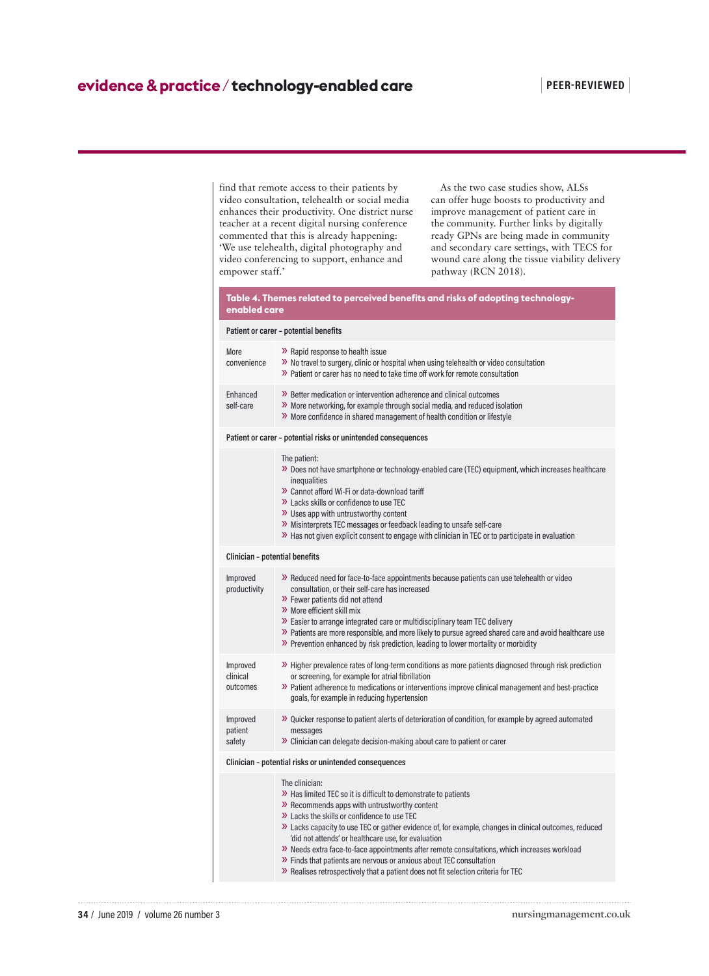find that remote access to their patients by video consultation, telehealth or social media enhances their productivity. One district nurse teacher at a recent digital nursing conference commented that this is already happening: 'We use telehealth, digital photography and video conferencing to support, enhance and empower staff.'

As the two case studies show, ALSs can offer huge boosts to productivity and improve management of patient care in the community. Further links by digitally ready GPNs are being made in community and secondary care settings, with TECS for wound care along the tissue viability delivery pathway (RCN 2018).

| Table 4. Themes related to perceived benefits and risks of adopting technology- |  |
|---------------------------------------------------------------------------------|--|
| enabled care                                                                    |  |

|                                                        | Patient or carer - potential benefits                                                                                                                                                                                                                                                                                                                                                                                                                                                                                                                                                                              |  |
|--------------------------------------------------------|--------------------------------------------------------------------------------------------------------------------------------------------------------------------------------------------------------------------------------------------------------------------------------------------------------------------------------------------------------------------------------------------------------------------------------------------------------------------------------------------------------------------------------------------------------------------------------------------------------------------|--|
| More<br>convenience                                    | >> Rapid response to health issue<br>>> No travel to surgery, clinic or hospital when using telehealth or video consultation<br>>> Patient or carer has no need to take time off work for remote consultation                                                                                                                                                                                                                                                                                                                                                                                                      |  |
| Enhanced<br>self-care                                  | >> Better medication or intervention adherence and clinical outcomes<br>>> More networking, for example through social media, and reduced isolation<br>>> More confidence in shared management of health condition or lifestyle                                                                                                                                                                                                                                                                                                                                                                                    |  |
|                                                        | Patient or carer - potential risks or unintended consequences                                                                                                                                                                                                                                                                                                                                                                                                                                                                                                                                                      |  |
|                                                        | The patient:<br>» Does not have smartphone or technology-enabled care (TEC) equipment, which increases healthcare<br>inequalities<br>>> Cannot afford Wi-Fi or data-download tariff<br>>> Lacks skills or confidence to use TEC<br>>> Uses app with untrustworthy content<br>>> Misinterprets TEC messages or feedback leading to unsafe self-care<br>>> Has not given explicit consent to engage with clinician in TEC or to participate in evaluation                                                                                                                                                            |  |
| Clinician - potential benefits                         |                                                                                                                                                                                                                                                                                                                                                                                                                                                                                                                                                                                                                    |  |
| Improved<br>productivity                               | >> Reduced need for face-to-face appointments because patients can use telehealth or video<br>consultation, or their self-care has increased<br>>> Fewer patients did not attend<br>>> More efficient skill mix<br>>> Easier to arrange integrated care or multidisciplinary team TEC delivery<br>» Patients are more responsible, and more likely to pursue agreed shared care and avoid healthcare use<br>>> Prevention enhanced by risk prediction, leading to lower mortality or morbidity                                                                                                                     |  |
| Improved<br>clinical<br>outcomes                       | >> Higher prevalence rates of long-term conditions as more patients diagnosed through risk prediction<br>or screening, for example for atrial fibrillation<br>>> Patient adherence to medications or interventions improve clinical management and best-practice<br>goals, for example in reducing hypertension                                                                                                                                                                                                                                                                                                    |  |
| Improved<br>patient<br>safety                          | >> Quicker response to patient alerts of deterioration of condition, for example by agreed automated<br>messages<br>$\lambda$ Clinician can delegate decision-making about care to patient or carer                                                                                                                                                                                                                                                                                                                                                                                                                |  |
| Clinician - potential risks or unintended consequences |                                                                                                                                                                                                                                                                                                                                                                                                                                                                                                                                                                                                                    |  |
|                                                        | The clinician:<br>>> Has limited TEC so it is difficult to demonstrate to patients<br>>> Recommends apps with untrustworthy content<br>>> Lacks the skills or confidence to use TEC<br>>> Lacks capacity to use TEC or gather evidence of, for example, changes in clinical outcomes, reduced<br>'did not attends' or healthcare use, for evaluation<br>» Needs extra face-to-face appointments after remote consultations, which increases workload<br>>> Finds that patients are nervous or anxious about TEC consultation<br>>> Realises retrospectively that a patient does not fit selection criteria for TEC |  |